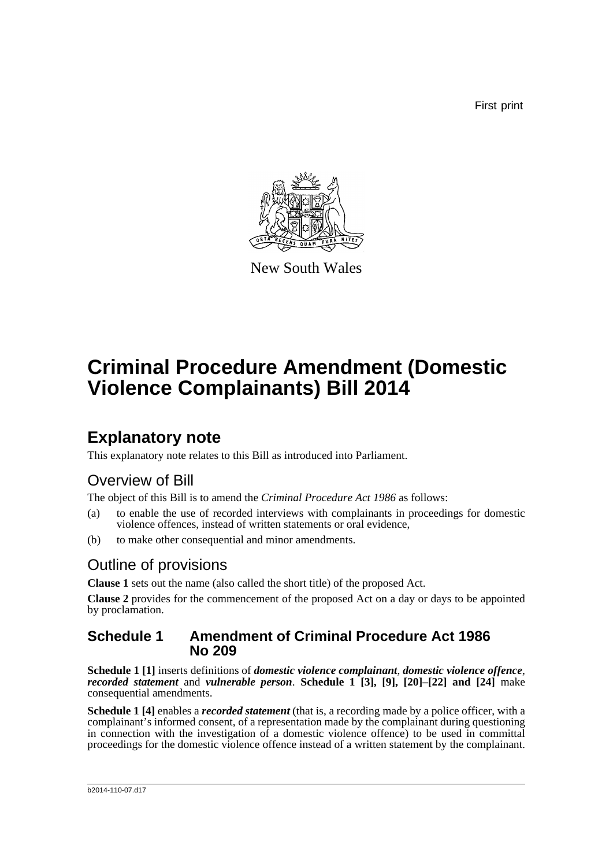First print



New South Wales

# **Criminal Procedure Amendment (Domestic Violence Complainants) Bill 2014**

### **Explanatory note**

This explanatory note relates to this Bill as introduced into Parliament.

### Overview of Bill

The object of this Bill is to amend the *Criminal Procedure Act 1986* as follows:

- (a) to enable the use of recorded interviews with complainants in proceedings for domestic violence offences, instead of written statements or oral evidence,
- (b) to make other consequential and minor amendments.

### Outline of provisions

**Clause 1** sets out the name (also called the short title) of the proposed Act.

**Clause 2** provides for the commencement of the proposed Act on a day or days to be appointed by proclamation.

#### **Schedule 1 Amendment of Criminal Procedure Act 1986 No 209**

**Schedule 1 [1]** inserts definitions of *domestic violence complainant*, *domestic violence offence*, *recorded statement* and *vulnerable person*. **Schedule 1 [3], [9], [20]–[22] and [24]** make consequential amendments.

**Schedule 1 [4]** enables a *recorded statement* (that is, a recording made by a police officer, with a complainant's informed consent, of a representation made by the complainant during questioning in connection with the investigation of a domestic violence offence) to be used in committal proceedings for the domestic violence offence instead of a written statement by the complainant.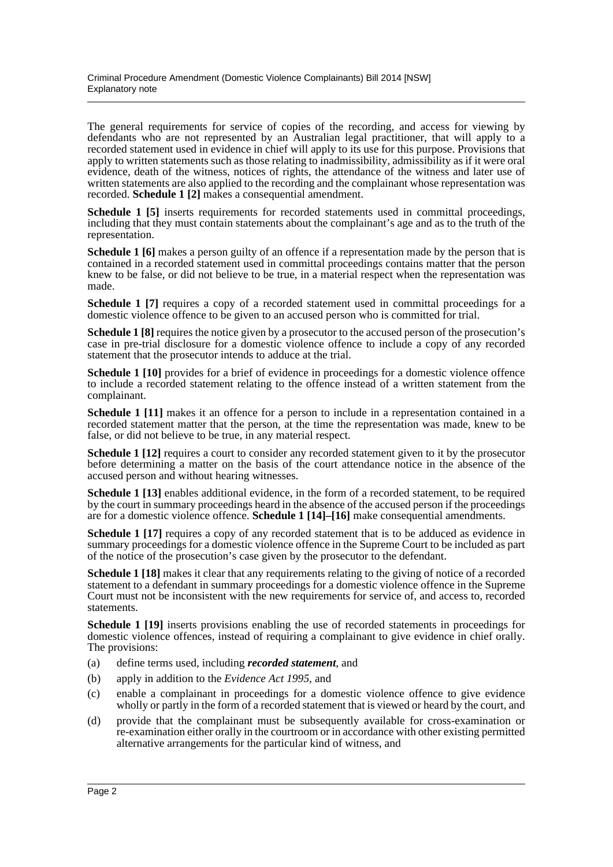The general requirements for service of copies of the recording, and access for viewing by defendants who are not represented by an Australian legal practitioner, that will apply to a recorded statement used in evidence in chief will apply to its use for this purpose. Provisions that apply to written statements such as those relating to inadmissibility, admissibility as if it were oral evidence, death of the witness, notices of rights, the attendance of the witness and later use of written statements are also applied to the recording and the complainant whose representation was recorded. **Schedule 1 [2]** makes a consequential amendment.

**Schedule 1 [5]** inserts requirements for recorded statements used in committal proceedings, including that they must contain statements about the complainant's age and as to the truth of the representation.

**Schedule 1 [6]** makes a person guilty of an offence if a representation made by the person that is contained in a recorded statement used in committal proceedings contains matter that the person knew to be false, or did not believe to be true, in a material respect when the representation was made.

**Schedule 1 [7]** requires a copy of a recorded statement used in committal proceedings for a domestic violence offence to be given to an accused person who is committed for trial.

**Schedule 1 [8]** requires the notice given by a prosecutor to the accused person of the prosecution's case in pre-trial disclosure for a domestic violence offence to include a copy of any recorded statement that the prosecutor intends to adduce at the trial.

**Schedule 1 [10]** provides for a brief of evidence in proceedings for a domestic violence offence to include a recorded statement relating to the offence instead of a written statement from the complainant.

**Schedule 1 [11]** makes it an offence for a person to include in a representation contained in a recorded statement matter that the person, at the time the representation was made, knew to be false, or did not believe to be true, in any material respect.

**Schedule 1 [12]** requires a court to consider any recorded statement given to it by the prosecutor before determining a matter on the basis of the court attendance notice in the absence of the accused person and without hearing witnesses.

**Schedule 1 [13]** enables additional evidence, in the form of a recorded statement, to be required by the court in summary proceedings heard in the absence of the accused person if the proceedings are for a domestic violence offence. **Schedule 1 [14]–[16]** make consequential amendments.

**Schedule 1 [17]** requires a copy of any recorded statement that is to be adduced as evidence in summary proceedings for a domestic violence offence in the Supreme Court to be included as part of the notice of the prosecution's case given by the prosecutor to the defendant.

**Schedule 1 [18]** makes it clear that any requirements relating to the giving of notice of a recorded statement to a defendant in summary proceedings for a domestic violence offence in the Supreme Court must not be inconsistent with the new requirements for service of, and access to, recorded statements.

**Schedule 1 [19]** inserts provisions enabling the use of recorded statements in proceedings for domestic violence offences, instead of requiring a complainant to give evidence in chief orally. The provisions:

- (a) define terms used, including *recorded statement*, and
- (b) apply in addition to the *Evidence Act 1995*, and
- (c) enable a complainant in proceedings for a domestic violence offence to give evidence wholly or partly in the form of a recorded statement that is viewed or heard by the court, and
- (d) provide that the complainant must be subsequently available for cross-examination or re-examination either orally in the courtroom or in accordance with other existing permitted alternative arrangements for the particular kind of witness, and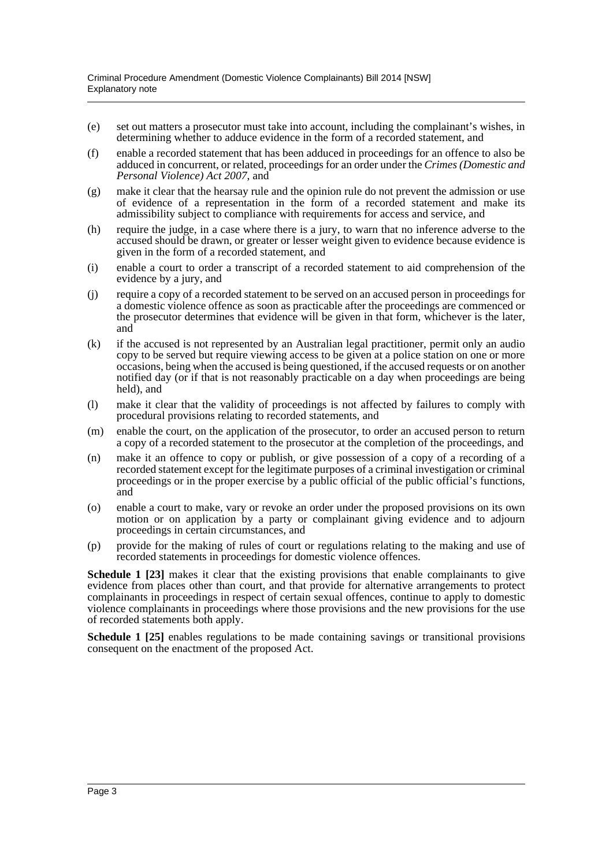- (e) set out matters a prosecutor must take into account, including the complainant's wishes, in determining whether to adduce evidence in the form of a recorded statement, and
- (f) enable a recorded statement that has been adduced in proceedings for an offence to also be adduced in concurrent, or related, proceedings for an order under the *Crimes (Domestic and Personal Violence) Act 2007*, and
- (g) make it clear that the hearsay rule and the opinion rule do not prevent the admission or use of evidence of a representation in the form of a recorded statement and make its admissibility subject to compliance with requirements for access and service, and
- (h) require the judge, in a case where there is a jury, to warn that no inference adverse to the accused should be drawn, or greater or lesser weight given to evidence because evidence is given in the form of a recorded statement, and
- (i) enable a court to order a transcript of a recorded statement to aid comprehension of the evidence by a jury, and
- (j) require a copy of a recorded statement to be served on an accused person in proceedings for a domestic violence offence as soon as practicable after the proceedings are commenced or the prosecutor determines that evidence will be given in that form, whichever is the later, and
- (k) if the accused is not represented by an Australian legal practitioner, permit only an audio copy to be served but require viewing access to be given at a police station on one or more occasions, being when the accused is being questioned, if the accused requests or on another notified day (or if that is not reasonably practicable on a day when proceedings are being held), and
- (l) make it clear that the validity of proceedings is not affected by failures to comply with procedural provisions relating to recorded statements, and
- (m) enable the court, on the application of the prosecutor, to order an accused person to return a copy of a recorded statement to the prosecutor at the completion of the proceedings, and
- (n) make it an offence to copy or publish, or give possession of a copy of a recording of a recorded statement except for the legitimate purposes of a criminal investigation or criminal proceedings or in the proper exercise by a public official of the public official's functions, and
- (o) enable a court to make, vary or revoke an order under the proposed provisions on its own motion or on application by a party or complainant giving evidence and to adjourn proceedings in certain circumstances, and
- (p) provide for the making of rules of court or regulations relating to the making and use of recorded statements in proceedings for domestic violence offences.

**Schedule 1 [23]** makes it clear that the existing provisions that enable complainants to give evidence from places other than court, and that provide for alternative arrangements to protect complainants in proceedings in respect of certain sexual offences, continue to apply to domestic violence complainants in proceedings where those provisions and the new provisions for the use of recorded statements both apply.

**Schedule 1 [25]** enables regulations to be made containing savings or transitional provisions consequent on the enactment of the proposed Act.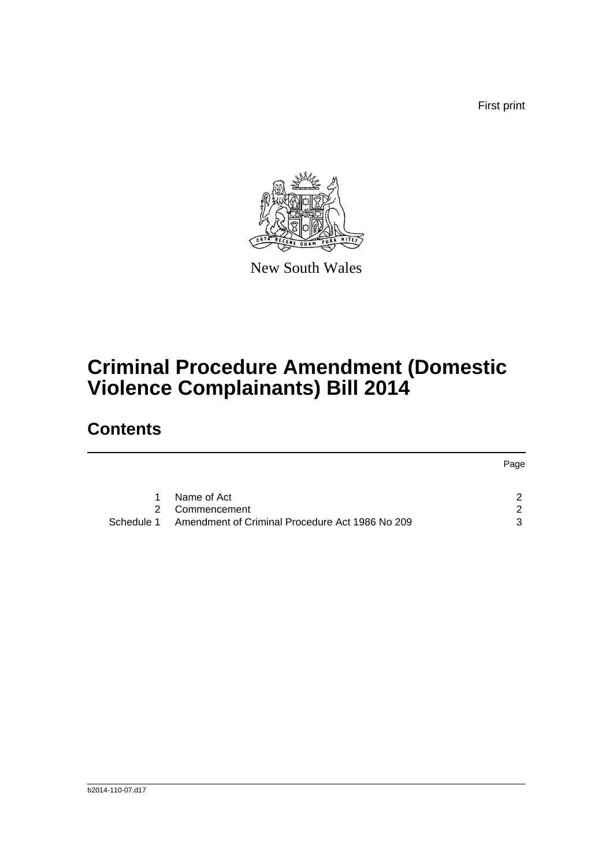First print



New South Wales

# **Criminal Procedure Amendment (Domestic Violence Complainants) Bill 2014**

## **Contents**

|             |                                                 | Page |
|-------------|-------------------------------------------------|------|
| $\mathbf 1$ | Name of Act                                     |      |
|             | 2 Commencement                                  | 2.   |
| Schedule 1  | Amendment of Criminal Procedure Act 1986 No 209 | 3    |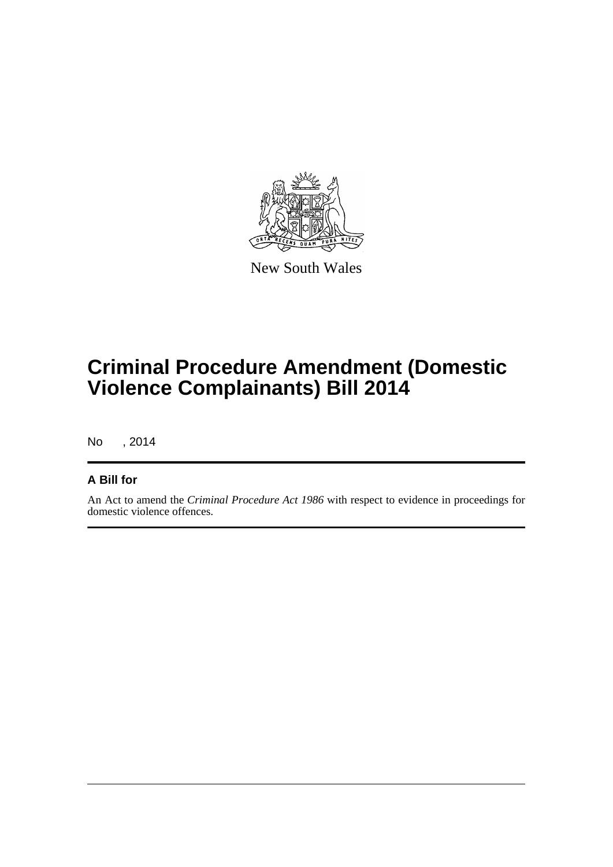

New South Wales

# **Criminal Procedure Amendment (Domestic Violence Complainants) Bill 2014**

No , 2014

#### **A Bill for**

An Act to amend the *Criminal Procedure Act 1986* with respect to evidence in proceedings for domestic violence offences.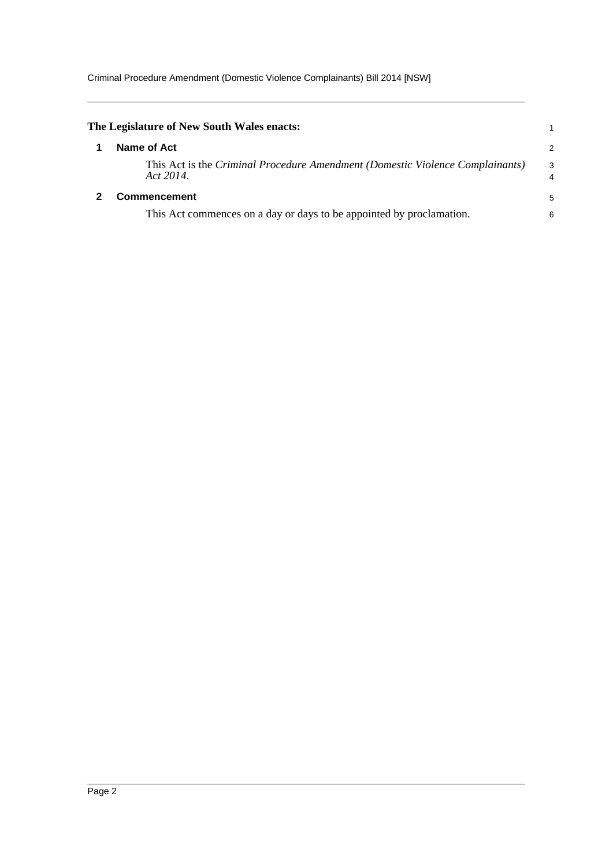<span id="page-5-1"></span><span id="page-5-0"></span>

| The Legislature of New South Wales enacts:                                                 |        |
|--------------------------------------------------------------------------------------------|--------|
| Name of Act                                                                                | 2      |
| This Act is the Criminal Procedure Amendment (Domestic Violence Complainants)<br>Act 2014. | 3<br>4 |
| <b>Commencement</b>                                                                        | 5      |
| This Act commences on a day or days to be appointed by proclamation.                       | 6      |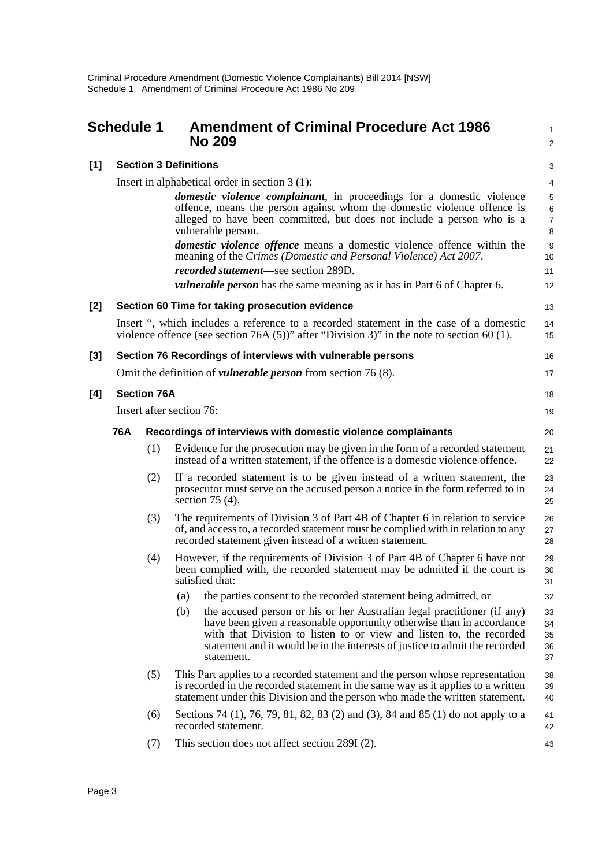<span id="page-6-0"></span>

|       | Schedule 1 |                                                  |                                                              | <b>Amendment of Criminal Procedure Act 1986</b><br><b>No 209</b>                                                                                                                                                                                                                                                     | 1<br>2                                      |  |  |
|-------|------------|--------------------------------------------------|--------------------------------------------------------------|----------------------------------------------------------------------------------------------------------------------------------------------------------------------------------------------------------------------------------------------------------------------------------------------------------------------|---------------------------------------------|--|--|
| $[1]$ |            |                                                  | <b>Section 3 Definitions</b>                                 |                                                                                                                                                                                                                                                                                                                      | 3                                           |  |  |
|       |            | Insert in alphabetical order in section $3(1)$ : |                                                              |                                                                                                                                                                                                                                                                                                                      |                                             |  |  |
|       |            |                                                  |                                                              | <i>domestic violence complainant</i> , in proceedings for a domestic violence<br>offence, means the person against whom the domestic violence offence is<br>alleged to have been committed, but does not include a person who is a<br>vulnerable person.                                                             | 5<br>$6\phantom{1}6$<br>$\overline{7}$<br>8 |  |  |
|       |            |                                                  |                                                              | <i>domestic violence offence</i> means a domestic violence offence within the<br>meaning of the Crimes (Domestic and Personal Violence) Act 2007.                                                                                                                                                                    | 9<br>10                                     |  |  |
|       |            |                                                  |                                                              | recorded statement-see section 289D.<br><i>vulnerable person</i> has the same meaning as it has in Part 6 of Chapter 6.                                                                                                                                                                                              | 11<br>12                                    |  |  |
|       |            |                                                  |                                                              |                                                                                                                                                                                                                                                                                                                      |                                             |  |  |
| [2]   |            |                                                  |                                                              | Section 60 Time for taking prosecution evidence                                                                                                                                                                                                                                                                      | 13                                          |  |  |
|       |            |                                                  |                                                              | Insert ", which includes a reference to a recorded statement in the case of a domestic<br>violence offence (see section 76A (5))" after "Division 3)" in the note to section 60 (1).                                                                                                                                 | 14<br>15                                    |  |  |
| [3]   |            |                                                  |                                                              | Section 76 Recordings of interviews with vulnerable persons                                                                                                                                                                                                                                                          | 16                                          |  |  |
|       |            |                                                  |                                                              | Omit the definition of <i>vulnerable person</i> from section $76(8)$ .                                                                                                                                                                                                                                               | 17                                          |  |  |
| [4]   |            | <b>Section 76A</b>                               |                                                              |                                                                                                                                                                                                                                                                                                                      | 18                                          |  |  |
|       |            |                                                  | Insert after section 76:                                     |                                                                                                                                                                                                                                                                                                                      | 19                                          |  |  |
|       | 76A        |                                                  | Recordings of interviews with domestic violence complainants |                                                                                                                                                                                                                                                                                                                      |                                             |  |  |
|       |            | (1)                                              |                                                              | Evidence for the prosecution may be given in the form of a recorded statement<br>instead of a written statement, if the offence is a domestic violence offence.                                                                                                                                                      | 21<br>22                                    |  |  |
|       |            | (2)                                              |                                                              | If a recorded statement is to be given instead of a written statement, the<br>prosecutor must serve on the accused person a notice in the form referred to in<br>section $75(4)$ .                                                                                                                                   | 23<br>24<br>25                              |  |  |
|       |            | (3)                                              |                                                              | The requirements of Division 3 of Part 4B of Chapter 6 in relation to service<br>of, and access to, a recorded statement must be complied with in relation to any<br>recorded statement given instead of a written statement.                                                                                        | 26<br>27<br>28                              |  |  |
|       |            | (4)                                              |                                                              | However, if the requirements of Division 3 of Part 4B of Chapter 6 have not<br>been complied with, the recorded statement may be admitted if the court is<br>satisfied that:                                                                                                                                         | 29<br>30<br>31                              |  |  |
|       |            |                                                  | (a)                                                          | the parties consent to the recorded statement being admitted, or                                                                                                                                                                                                                                                     | 32                                          |  |  |
|       |            |                                                  | (b)                                                          | the accused person or his or her Australian legal practitioner (if any)<br>have been given a reasonable opportunity otherwise than in accordance<br>with that Division to listen to or view and listen to, the recorded<br>statement and it would be in the interests of justice to admit the recorded<br>statement. | 33<br>34<br>35<br>36<br>37                  |  |  |
|       |            | (5)                                              |                                                              | This Part applies to a recorded statement and the person whose representation<br>is recorded in the recorded statement in the same way as it applies to a written<br>statement under this Division and the person who made the written statement.                                                                    | 38<br>39<br>40                              |  |  |
|       |            | (6)                                              |                                                              | Sections 74 (1), 76, 79, 81, 82, 83 (2) and (3), 84 and 85 (1) do not apply to a<br>recorded statement.                                                                                                                                                                                                              | 41<br>42                                    |  |  |
|       |            | (7)                                              |                                                              | This section does not affect section 289I (2).                                                                                                                                                                                                                                                                       | 43                                          |  |  |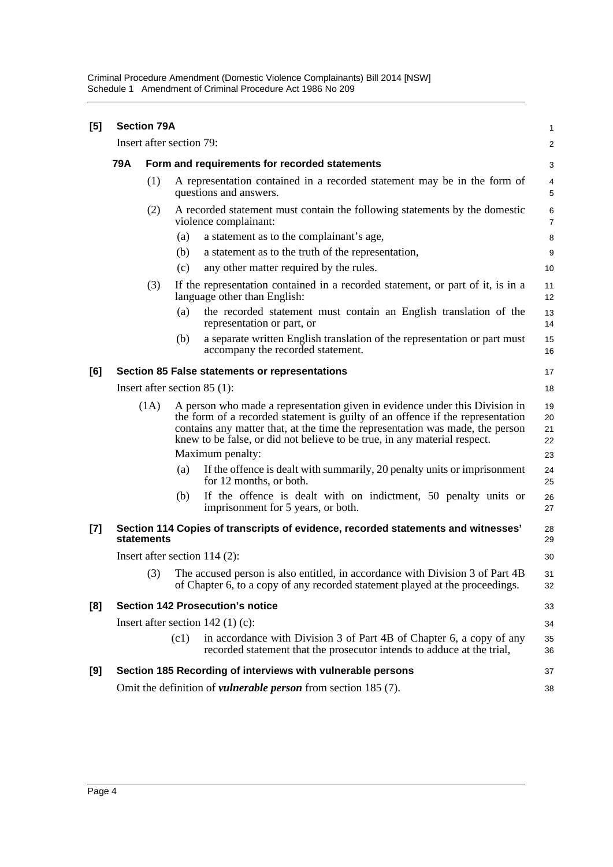Criminal Procedure Amendment (Domestic Violence Complainants) Bill 2014 [NSW] Schedule 1 Amendment of Criminal Procedure Act 1986 No 209

| [5]   |                                                             | <b>Section 79A</b>                             |      |                                                                                                                                                                                                                                                                                                                             | 1                    |  |  |
|-------|-------------------------------------------------------------|------------------------------------------------|------|-----------------------------------------------------------------------------------------------------------------------------------------------------------------------------------------------------------------------------------------------------------------------------------------------------------------------------|----------------------|--|--|
|       |                                                             | Insert after section 79:                       |      |                                                                                                                                                                                                                                                                                                                             | $\overline{a}$       |  |  |
|       | <b>79A</b><br>Form and requirements for recorded statements |                                                |      |                                                                                                                                                                                                                                                                                                                             |                      |  |  |
|       |                                                             | (1)                                            |      | A representation contained in a recorded statement may be in the form of<br>questions and answers.                                                                                                                                                                                                                          | 4<br>5               |  |  |
|       |                                                             | (2)                                            |      | A recorded statement must contain the following statements by the domestic<br>violence complainant:                                                                                                                                                                                                                         | 6<br>7               |  |  |
|       |                                                             |                                                | (a)  | a statement as to the complainant's age,                                                                                                                                                                                                                                                                                    | 8                    |  |  |
|       |                                                             |                                                | (b)  | a statement as to the truth of the representation,                                                                                                                                                                                                                                                                          | 9                    |  |  |
|       |                                                             |                                                | (c)  | any other matter required by the rules.                                                                                                                                                                                                                                                                                     | 10                   |  |  |
|       |                                                             | (3)                                            |      | If the representation contained in a recorded statement, or part of it, is in a<br>language other than English:                                                                                                                                                                                                             | 11<br>12             |  |  |
|       |                                                             |                                                | (a)  | the recorded statement must contain an English translation of the<br>representation or part, or                                                                                                                                                                                                                             | 13<br>14             |  |  |
|       |                                                             |                                                | (b)  | a separate written English translation of the representation or part must<br>accompany the recorded statement.                                                                                                                                                                                                              | 15<br>16             |  |  |
| [6]   |                                                             | Section 85 False statements or representations |      |                                                                                                                                                                                                                                                                                                                             |                      |  |  |
|       |                                                             | Insert after section $85(1)$ :<br>18           |      |                                                                                                                                                                                                                                                                                                                             |                      |  |  |
|       | (1A)                                                        |                                                |      | A person who made a representation given in evidence under this Division in<br>the form of a recorded statement is guilty of an offence if the representation<br>contains any matter that, at the time the representation was made, the person<br>knew to be false, or did not believe to be true, in any material respect. | 19<br>20<br>21<br>22 |  |  |
|       |                                                             |                                                |      | Maximum penalty:                                                                                                                                                                                                                                                                                                            | 23                   |  |  |
|       |                                                             |                                                | (a)  | If the offence is dealt with summarily, 20 penalty units or imprisonment<br>for 12 months, or both.                                                                                                                                                                                                                         | 24<br>25             |  |  |
|       |                                                             |                                                | (b)  | If the offence is dealt with on indictment, 50 penalty units or<br>imprisonment for 5 years, or both.                                                                                                                                                                                                                       | 26<br>27             |  |  |
| $[7]$ |                                                             | statements                                     |      | Section 114 Copies of transcripts of evidence, recorded statements and witnesses'                                                                                                                                                                                                                                           | 28<br>29             |  |  |
|       |                                                             | Insert after section 114 (2):                  |      |                                                                                                                                                                                                                                                                                                                             |                      |  |  |
|       |                                                             |                                                |      | (3) The accused person is also entitled, in accordance with Division 3 of Part 4B<br>of Chapter 6, to a copy of any recorded statement played at the proceedings.                                                                                                                                                           | 31<br>32             |  |  |
| [8]   |                                                             |                                                |      | <b>Section 142 Prosecution's notice</b>                                                                                                                                                                                                                                                                                     | 33                   |  |  |
|       |                                                             |                                                |      | Insert after section $142$ (1) (c):                                                                                                                                                                                                                                                                                         | 34                   |  |  |
|       |                                                             |                                                | (c1) | in accordance with Division 3 of Part 4B of Chapter 6, a copy of any<br>recorded statement that the prosecutor intends to adduce at the trial,                                                                                                                                                                              | 35<br>36             |  |  |
| [9]   |                                                             |                                                |      | Section 185 Recording of interviews with vulnerable persons                                                                                                                                                                                                                                                                 | 37                   |  |  |
|       |                                                             |                                                |      | Omit the definition of <i>vulnerable person</i> from section 185 (7).                                                                                                                                                                                                                                                       | 38                   |  |  |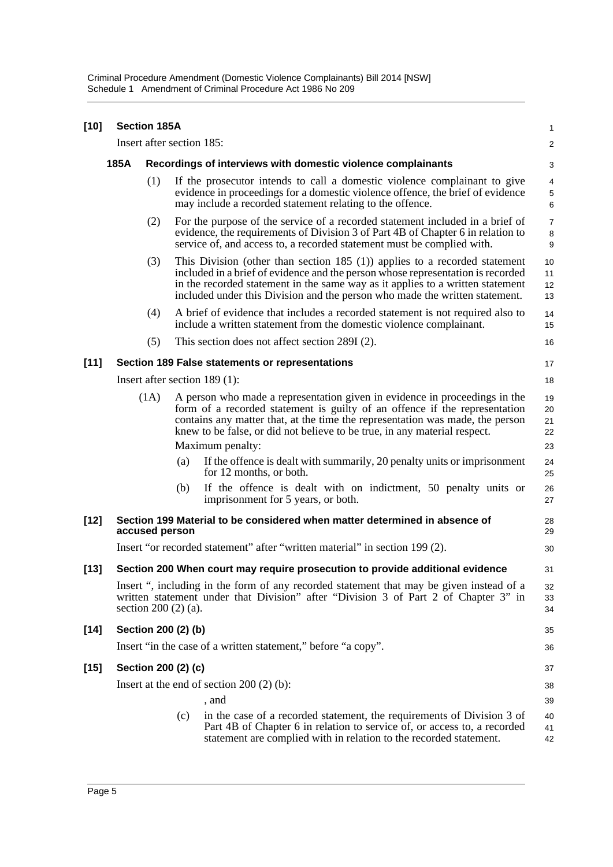Criminal Procedure Amendment (Domestic Violence Complainants) Bill 2014 [NSW] Schedule 1 Amendment of Criminal Procedure Act 1986 No 209

|      |                                                                                                                                                                                                                          | $\mathbf{1}$                                                                                                                                                                                                                                                                                                                                                                                                                                                                                                                                                                                                                                                                                                                                                                                                                                                                                                                                                                                                                                                                                                                                                                                                                                                                                                                                                                                                                                                                                                                                                                                                                                                                                                                                                                                                                                                                                                                                                                                                                                                                                                                                                                                                                                                                                                                                                        |
|------|--------------------------------------------------------------------------------------------------------------------------------------------------------------------------------------------------------------------------|---------------------------------------------------------------------------------------------------------------------------------------------------------------------------------------------------------------------------------------------------------------------------------------------------------------------------------------------------------------------------------------------------------------------------------------------------------------------------------------------------------------------------------------------------------------------------------------------------------------------------------------------------------------------------------------------------------------------------------------------------------------------------------------------------------------------------------------------------------------------------------------------------------------------------------------------------------------------------------------------------------------------------------------------------------------------------------------------------------------------------------------------------------------------------------------------------------------------------------------------------------------------------------------------------------------------------------------------------------------------------------------------------------------------------------------------------------------------------------------------------------------------------------------------------------------------------------------------------------------------------------------------------------------------------------------------------------------------------------------------------------------------------------------------------------------------------------------------------------------------------------------------------------------------------------------------------------------------------------------------------------------------------------------------------------------------------------------------------------------------------------------------------------------------------------------------------------------------------------------------------------------------------------------------------------------------------------------------------------------------|
|      |                                                                                                                                                                                                                          | $\overline{\mathbf{c}}$                                                                                                                                                                                                                                                                                                                                                                                                                                                                                                                                                                                                                                                                                                                                                                                                                                                                                                                                                                                                                                                                                                                                                                                                                                                                                                                                                                                                                                                                                                                                                                                                                                                                                                                                                                                                                                                                                                                                                                                                                                                                                                                                                                                                                                                                                                                                             |
| 185A |                                                                                                                                                                                                                          | 3                                                                                                                                                                                                                                                                                                                                                                                                                                                                                                                                                                                                                                                                                                                                                                                                                                                                                                                                                                                                                                                                                                                                                                                                                                                                                                                                                                                                                                                                                                                                                                                                                                                                                                                                                                                                                                                                                                                                                                                                                                                                                                                                                                                                                                                                                                                                                                   |
|      |                                                                                                                                                                                                                          | $\overline{4}$<br>5<br>6                                                                                                                                                                                                                                                                                                                                                                                                                                                                                                                                                                                                                                                                                                                                                                                                                                                                                                                                                                                                                                                                                                                                                                                                                                                                                                                                                                                                                                                                                                                                                                                                                                                                                                                                                                                                                                                                                                                                                                                                                                                                                                                                                                                                                                                                                                                                            |
|      |                                                                                                                                                                                                                          | $\overline{7}$<br>8<br>9                                                                                                                                                                                                                                                                                                                                                                                                                                                                                                                                                                                                                                                                                                                                                                                                                                                                                                                                                                                                                                                                                                                                                                                                                                                                                                                                                                                                                                                                                                                                                                                                                                                                                                                                                                                                                                                                                                                                                                                                                                                                                                                                                                                                                                                                                                                                            |
|      |                                                                                                                                                                                                                          | 10<br>11<br>12<br>13                                                                                                                                                                                                                                                                                                                                                                                                                                                                                                                                                                                                                                                                                                                                                                                                                                                                                                                                                                                                                                                                                                                                                                                                                                                                                                                                                                                                                                                                                                                                                                                                                                                                                                                                                                                                                                                                                                                                                                                                                                                                                                                                                                                                                                                                                                                                                |
|      |                                                                                                                                                                                                                          | 14<br>15                                                                                                                                                                                                                                                                                                                                                                                                                                                                                                                                                                                                                                                                                                                                                                                                                                                                                                                                                                                                                                                                                                                                                                                                                                                                                                                                                                                                                                                                                                                                                                                                                                                                                                                                                                                                                                                                                                                                                                                                                                                                                                                                                                                                                                                                                                                                                            |
|      |                                                                                                                                                                                                                          | 16                                                                                                                                                                                                                                                                                                                                                                                                                                                                                                                                                                                                                                                                                                                                                                                                                                                                                                                                                                                                                                                                                                                                                                                                                                                                                                                                                                                                                                                                                                                                                                                                                                                                                                                                                                                                                                                                                                                                                                                                                                                                                                                                                                                                                                                                                                                                                                  |
|      |                                                                                                                                                                                                                          | 17                                                                                                                                                                                                                                                                                                                                                                                                                                                                                                                                                                                                                                                                                                                                                                                                                                                                                                                                                                                                                                                                                                                                                                                                                                                                                                                                                                                                                                                                                                                                                                                                                                                                                                                                                                                                                                                                                                                                                                                                                                                                                                                                                                                                                                                                                                                                                                  |
|      |                                                                                                                                                                                                                          | 18                                                                                                                                                                                                                                                                                                                                                                                                                                                                                                                                                                                                                                                                                                                                                                                                                                                                                                                                                                                                                                                                                                                                                                                                                                                                                                                                                                                                                                                                                                                                                                                                                                                                                                                                                                                                                                                                                                                                                                                                                                                                                                                                                                                                                                                                                                                                                                  |
|      |                                                                                                                                                                                                                          | 19<br>20<br>21<br>22                                                                                                                                                                                                                                                                                                                                                                                                                                                                                                                                                                                                                                                                                                                                                                                                                                                                                                                                                                                                                                                                                                                                                                                                                                                                                                                                                                                                                                                                                                                                                                                                                                                                                                                                                                                                                                                                                                                                                                                                                                                                                                                                                                                                                                                                                                                                                |
|      |                                                                                                                                                                                                                          | 23                                                                                                                                                                                                                                                                                                                                                                                                                                                                                                                                                                                                                                                                                                                                                                                                                                                                                                                                                                                                                                                                                                                                                                                                                                                                                                                                                                                                                                                                                                                                                                                                                                                                                                                                                                                                                                                                                                                                                                                                                                                                                                                                                                                                                                                                                                                                                                  |
|      | for 12 months, or both.                                                                                                                                                                                                  | 24<br>25                                                                                                                                                                                                                                                                                                                                                                                                                                                                                                                                                                                                                                                                                                                                                                                                                                                                                                                                                                                                                                                                                                                                                                                                                                                                                                                                                                                                                                                                                                                                                                                                                                                                                                                                                                                                                                                                                                                                                                                                                                                                                                                                                                                                                                                                                                                                                            |
|      | imprisonment for 5 years, or both.                                                                                                                                                                                       | 26<br>27                                                                                                                                                                                                                                                                                                                                                                                                                                                                                                                                                                                                                                                                                                                                                                                                                                                                                                                                                                                                                                                                                                                                                                                                                                                                                                                                                                                                                                                                                                                                                                                                                                                                                                                                                                                                                                                                                                                                                                                                                                                                                                                                                                                                                                                                                                                                                            |
|      |                                                                                                                                                                                                                          | 28<br>29                                                                                                                                                                                                                                                                                                                                                                                                                                                                                                                                                                                                                                                                                                                                                                                                                                                                                                                                                                                                                                                                                                                                                                                                                                                                                                                                                                                                                                                                                                                                                                                                                                                                                                                                                                                                                                                                                                                                                                                                                                                                                                                                                                                                                                                                                                                                                            |
|      |                                                                                                                                                                                                                          | 30                                                                                                                                                                                                                                                                                                                                                                                                                                                                                                                                                                                                                                                                                                                                                                                                                                                                                                                                                                                                                                                                                                                                                                                                                                                                                                                                                                                                                                                                                                                                                                                                                                                                                                                                                                                                                                                                                                                                                                                                                                                                                                                                                                                                                                                                                                                                                                  |
|      |                                                                                                                                                                                                                          | 31                                                                                                                                                                                                                                                                                                                                                                                                                                                                                                                                                                                                                                                                                                                                                                                                                                                                                                                                                                                                                                                                                                                                                                                                                                                                                                                                                                                                                                                                                                                                                                                                                                                                                                                                                                                                                                                                                                                                                                                                                                                                                                                                                                                                                                                                                                                                                                  |
|      |                                                                                                                                                                                                                          | 32<br>33<br>34                                                                                                                                                                                                                                                                                                                                                                                                                                                                                                                                                                                                                                                                                                                                                                                                                                                                                                                                                                                                                                                                                                                                                                                                                                                                                                                                                                                                                                                                                                                                                                                                                                                                                                                                                                                                                                                                                                                                                                                                                                                                                                                                                                                                                                                                                                                                                      |
|      |                                                                                                                                                                                                                          | 35                                                                                                                                                                                                                                                                                                                                                                                                                                                                                                                                                                                                                                                                                                                                                                                                                                                                                                                                                                                                                                                                                                                                                                                                                                                                                                                                                                                                                                                                                                                                                                                                                                                                                                                                                                                                                                                                                                                                                                                                                                                                                                                                                                                                                                                                                                                                                                  |
|      |                                                                                                                                                                                                                          | 36                                                                                                                                                                                                                                                                                                                                                                                                                                                                                                                                                                                                                                                                                                                                                                                                                                                                                                                                                                                                                                                                                                                                                                                                                                                                                                                                                                                                                                                                                                                                                                                                                                                                                                                                                                                                                                                                                                                                                                                                                                                                                                                                                                                                                                                                                                                                                                  |
|      |                                                                                                                                                                                                                          | 37                                                                                                                                                                                                                                                                                                                                                                                                                                                                                                                                                                                                                                                                                                                                                                                                                                                                                                                                                                                                                                                                                                                                                                                                                                                                                                                                                                                                                                                                                                                                                                                                                                                                                                                                                                                                                                                                                                                                                                                                                                                                                                                                                                                                                                                                                                                                                                  |
|      |                                                                                                                                                                                                                          | 38                                                                                                                                                                                                                                                                                                                                                                                                                                                                                                                                                                                                                                                                                                                                                                                                                                                                                                                                                                                                                                                                                                                                                                                                                                                                                                                                                                                                                                                                                                                                                                                                                                                                                                                                                                                                                                                                                                                                                                                                                                                                                                                                                                                                                                                                                                                                                                  |
|      | , and                                                                                                                                                                                                                    | 39                                                                                                                                                                                                                                                                                                                                                                                                                                                                                                                                                                                                                                                                                                                                                                                                                                                                                                                                                                                                                                                                                                                                                                                                                                                                                                                                                                                                                                                                                                                                                                                                                                                                                                                                                                                                                                                                                                                                                                                                                                                                                                                                                                                                                                                                                                                                                                  |
|      | in the case of a recorded statement, the requirements of Division 3 of<br>Part 4B of Chapter 6 in relation to service of, or access to, a recorded<br>statement are complied with in relation to the recorded statement. | 40<br>41<br>42                                                                                                                                                                                                                                                                                                                                                                                                                                                                                                                                                                                                                                                                                                                                                                                                                                                                                                                                                                                                                                                                                                                                                                                                                                                                                                                                                                                                                                                                                                                                                                                                                                                                                                                                                                                                                                                                                                                                                                                                                                                                                                                                                                                                                                                                                                                                                      |
|      | <b>Section 185A</b><br>(1)<br>(2)<br>(3)<br>(4)<br>(5)<br>(1A)                                                                                                                                                           | Insert after section 185:<br>Recordings of interviews with domestic violence complainants<br>If the prosecutor intends to call a domestic violence complainant to give<br>evidence in proceedings for a domestic violence offence, the brief of evidence<br>may include a recorded statement relating to the offence.<br>For the purpose of the service of a recorded statement included in a brief of<br>evidence, the requirements of Division 3 of Part 4B of Chapter 6 in relation to<br>service of, and access to, a recorded statement must be complied with.<br>This Division (other than section $185$ (1)) applies to a recorded statement<br>included in a brief of evidence and the person whose representation is recorded<br>in the recorded statement in the same way as it applies to a written statement<br>included under this Division and the person who made the written statement.<br>A brief of evidence that includes a recorded statement is not required also to<br>include a written statement from the domestic violence complainant.<br>This section does not affect section 289I (2).<br>Section 189 False statements or representations<br>Insert after section $189(1)$ :<br>A person who made a representation given in evidence in proceedings in the<br>form of a recorded statement is guilty of an offence if the representation<br>contains any matter that, at the time the representation was made, the person<br>knew to be false, or did not believe to be true, in any material respect.<br>Maximum penalty:<br>If the offence is dealt with summarily, 20 penalty units or imprisonment<br>(a)<br>(b)<br>If the offence is dealt with on indictment, 50 penalty units or<br>Section 199 Material to be considered when matter determined in absence of<br>accused person<br>Insert "or recorded statement" after "written material" in section 199 (2).<br>Section 200 When court may require prosecution to provide additional evidence<br>Insert ", including in the form of any recorded statement that may be given instead of a<br>written statement under that Division" after "Division 3 of Part 2 of Chapter 3" in<br>section $200(2)(a)$ .<br>Section 200 (2) (b)<br>Insert "in the case of a written statement," before "a copy".<br>Section 200 (2) (c)<br>Insert at the end of section $200(2)(b)$ :<br>(c) |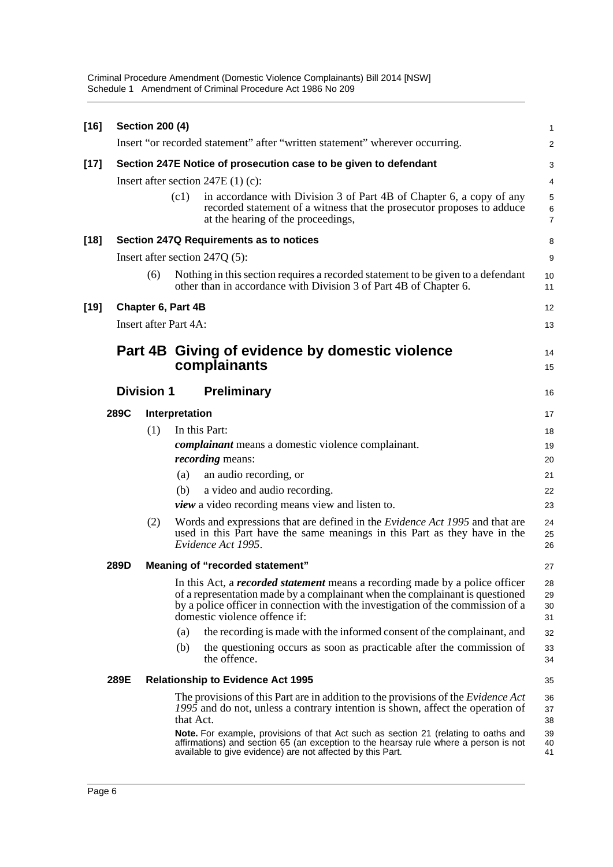Criminal Procedure Amendment (Domestic Violence Complainants) Bill 2014 [NSW] Schedule 1 Amendment of Criminal Procedure Act 1986 No 209

| $[16]$ |      | <b>Section 200 (4)</b> |                                                                                                                                                                                                                                                                                         | 1                        |
|--------|------|------------------------|-----------------------------------------------------------------------------------------------------------------------------------------------------------------------------------------------------------------------------------------------------------------------------------------|--------------------------|
|        |      |                        | Insert "or recorded statement" after "written statement" wherever occurring.                                                                                                                                                                                                            | $\overline{a}$           |
| $[17]$ |      |                        | Section 247E Notice of prosecution case to be given to defendant                                                                                                                                                                                                                        | 3                        |
|        |      |                        | Insert after section $247E(1)(c)$ :                                                                                                                                                                                                                                                     | 4                        |
|        |      |                        | in accordance with Division 3 of Part 4B of Chapter 6, a copy of any<br>(c1)<br>recorded statement of a witness that the prosecutor proposes to adduce<br>at the hearing of the proceedings,                                                                                            | 5<br>6<br>$\overline{7}$ |
| $[18]$ |      |                        | Section 247Q Requirements as to notices                                                                                                                                                                                                                                                 | 8                        |
|        |      |                        | Insert after section 247Q (5):                                                                                                                                                                                                                                                          | 9                        |
|        |      | (6)                    | Nothing in this section requires a recorded statement to be given to a defendant<br>other than in accordance with Division 3 of Part 4B of Chapter 6.                                                                                                                                   | 10<br>11                 |
| $[19]$ |      |                        | Chapter 6, Part 4B                                                                                                                                                                                                                                                                      | 12                       |
|        |      |                        | <b>Insert after Part 4A:</b>                                                                                                                                                                                                                                                            | 13                       |
|        |      |                        | Part 4B Giving of evidence by domestic violence<br>complainants                                                                                                                                                                                                                         | 14<br>15                 |
|        |      | <b>Division 1</b>      | <b>Preliminary</b>                                                                                                                                                                                                                                                                      | 16                       |
|        | 289C |                        | Interpretation                                                                                                                                                                                                                                                                          | 17                       |
|        |      | (1)                    | In this Part:                                                                                                                                                                                                                                                                           | 18                       |
|        |      |                        | <i>complainant</i> means a domestic violence complainant.                                                                                                                                                                                                                               | 19                       |
|        |      |                        | <i>recording</i> means:                                                                                                                                                                                                                                                                 | 20                       |
|        |      |                        | an audio recording, or<br>(a)                                                                                                                                                                                                                                                           | 21                       |
|        |      |                        | a video and audio recording.<br>(b)                                                                                                                                                                                                                                                     | 22                       |
|        |      |                        | <i>view</i> a video recording means view and listen to.                                                                                                                                                                                                                                 | 23                       |
|        |      | (2)                    | Words and expressions that are defined in the <i>Evidence Act 1995</i> and that are<br>used in this Part have the same meanings in this Part as they have in the<br>Evidence Act 1995.                                                                                                  | 24<br>25<br>26           |
|        | 289D |                        | Meaning of "recorded statement"                                                                                                                                                                                                                                                         | 27                       |
|        |      |                        | In this Act, a <i>recorded statement</i> means a recording made by a police officer<br>of a representation made by a complainant when the complainant is questioned<br>by a police officer in connection with the investigation of the commission of a<br>domestic violence offence if: | 28<br>29<br>30<br>31     |
|        |      |                        | the recording is made with the informed consent of the complainant, and<br>(a)                                                                                                                                                                                                          | 32                       |
|        |      |                        | (b)<br>the questioning occurs as soon as practicable after the commission of<br>the offence.                                                                                                                                                                                            | 33<br>34                 |
|        | 289E |                        | <b>Relationship to Evidence Act 1995</b>                                                                                                                                                                                                                                                | 35                       |
|        |      |                        | The provisions of this Part are in addition to the provisions of the <i>Evidence Act</i><br>1995 and do not, unless a contrary intention is shown, affect the operation of<br>that Act.                                                                                                 | 36<br>37<br>38           |
|        |      |                        | Note. For example, provisions of that Act such as section 21 (relating to oaths and<br>affirmations) and section 65 (an exception to the hearsay rule where a person is not<br>available to give evidence) are not affected by this Part.                                               | 39<br>40<br>41           |
|        |      |                        |                                                                                                                                                                                                                                                                                         |                          |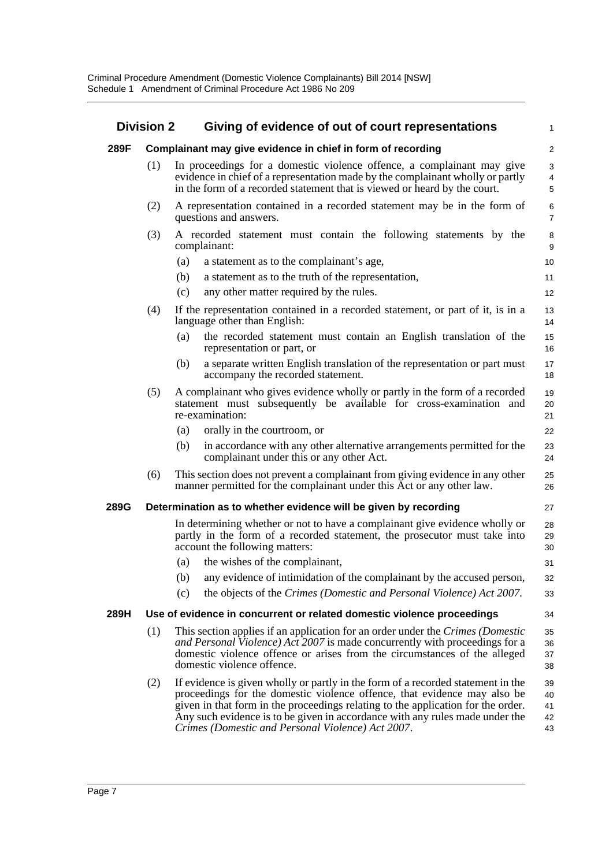| <b>Division 2</b> |     | Giving of evidence of out of court representations                                                                                                                                                                                                                                                                                                                                    | 1                          |
|-------------------|-----|---------------------------------------------------------------------------------------------------------------------------------------------------------------------------------------------------------------------------------------------------------------------------------------------------------------------------------------------------------------------------------------|----------------------------|
| 289F              |     | Complainant may give evidence in chief in form of recording                                                                                                                                                                                                                                                                                                                           | $\overline{c}$             |
|                   | (1) | In proceedings for a domestic violence offence, a complainant may give<br>evidence in chief of a representation made by the complainant wholly or partly<br>in the form of a recorded statement that is viewed or heard by the court.                                                                                                                                                 | 3<br>4<br>5                |
|                   | (2) | A representation contained in a recorded statement may be in the form of<br>questions and answers.                                                                                                                                                                                                                                                                                    | 6<br>7                     |
|                   | (3) | A recorded statement must contain the following statements by the<br>complainant:                                                                                                                                                                                                                                                                                                     | 8<br>9                     |
|                   |     | a statement as to the complainant's age,<br>(a)                                                                                                                                                                                                                                                                                                                                       | 10                         |
|                   |     | a statement as to the truth of the representation,<br>(b)                                                                                                                                                                                                                                                                                                                             | 11                         |
|                   |     | (c)<br>any other matter required by the rules.                                                                                                                                                                                                                                                                                                                                        | 12                         |
|                   | (4) | If the representation contained in a recorded statement, or part of it, is in a<br>language other than English:                                                                                                                                                                                                                                                                       | 13<br>14                   |
|                   |     | the recorded statement must contain an English translation of the<br>(a)<br>representation or part, or                                                                                                                                                                                                                                                                                | 15<br>16                   |
|                   |     | a separate written English translation of the representation or part must<br>(b)<br>accompany the recorded statement.                                                                                                                                                                                                                                                                 | 17<br>18                   |
|                   | (5) | A complainant who gives evidence wholly or partly in the form of a recorded<br>statement must subsequently be available for cross-examination and<br>re-examination:                                                                                                                                                                                                                  | 19<br>20<br>21             |
|                   |     | orally in the courtroom, or<br>(a)                                                                                                                                                                                                                                                                                                                                                    | 22                         |
|                   |     | in accordance with any other alternative arrangements permitted for the<br>(b)<br>complainant under this or any other Act.                                                                                                                                                                                                                                                            | 23<br>24                   |
|                   | (6) | This section does not prevent a complainant from giving evidence in any other<br>manner permitted for the complainant under this Act or any other law.                                                                                                                                                                                                                                | 25<br>26                   |
| 289G              |     | Determination as to whether evidence will be given by recording                                                                                                                                                                                                                                                                                                                       | 27                         |
|                   |     | In determining whether or not to have a complainant give evidence wholly or<br>partly in the form of a recorded statement, the prosecutor must take into<br>account the following matters:                                                                                                                                                                                            | 28<br>29<br>30             |
|                   |     | the wishes of the complainant,<br>(a)                                                                                                                                                                                                                                                                                                                                                 | 31                         |
|                   |     | (b) any evidence of intimidation of the complainant by the accused person,                                                                                                                                                                                                                                                                                                            | 32                         |
|                   |     | the objects of the Crimes (Domestic and Personal Violence) Act 2007.<br>(c)                                                                                                                                                                                                                                                                                                           | 33                         |
| 289H              |     | Use of evidence in concurrent or related domestic violence proceedings                                                                                                                                                                                                                                                                                                                | 34                         |
|                   | (1) | This section applies if an application for an order under the Crimes (Domestic<br>and Personal Violence) Act 2007 is made concurrently with proceedings for a<br>domestic violence offence or arises from the circumstances of the alleged<br>domestic violence offence.                                                                                                              | 35<br>36<br>37<br>38       |
|                   | (2) | If evidence is given wholly or partly in the form of a recorded statement in the<br>proceedings for the domestic violence offence, that evidence may also be<br>given in that form in the proceedings relating to the application for the order.<br>Any such evidence is to be given in accordance with any rules made under the<br>Crimes (Domestic and Personal Violence) Act 2007. | 39<br>40<br>41<br>42<br>43 |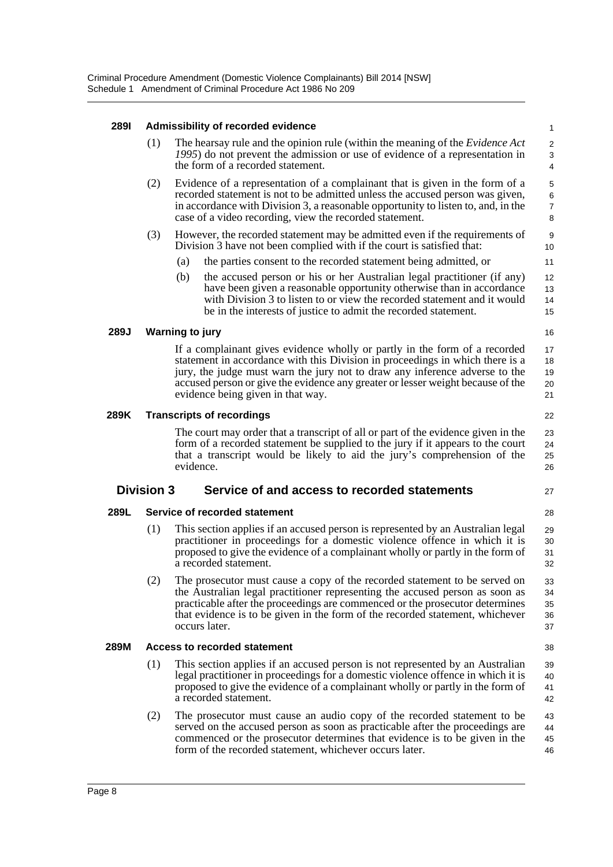#### **289I Admissibility of recorded evidence**

| 289I |                                                                                                                                                                                                                                                                                                                      | Admissibility of recorded evidence                                                                                                                                                                                                                                                                                                                                 | 1                          |  |
|------|----------------------------------------------------------------------------------------------------------------------------------------------------------------------------------------------------------------------------------------------------------------------------------------------------------------------|--------------------------------------------------------------------------------------------------------------------------------------------------------------------------------------------------------------------------------------------------------------------------------------------------------------------------------------------------------------------|----------------------------|--|
|      | (1)                                                                                                                                                                                                                                                                                                                  | The hearsay rule and the opinion rule (within the meaning of the <i>Evidence Act</i><br>1995) do not prevent the admission or use of evidence of a representation in<br>the form of a recorded statement.                                                                                                                                                          |                            |  |
|      | (2)<br>Evidence of a representation of a complainant that is given in the form of a<br>recorded statement is not to be admitted unless the accused person was given,<br>in accordance with Division 3, a reasonable opportunity to listen to, and, in the<br>case of a video recording, view the recorded statement. |                                                                                                                                                                                                                                                                                                                                                                    |                            |  |
|      | (3)                                                                                                                                                                                                                                                                                                                  | However, the recorded statement may be admitted even if the requirements of<br>Division 3 have not been complied with if the court is satisfied that:                                                                                                                                                                                                              | 9<br>10                    |  |
|      |                                                                                                                                                                                                                                                                                                                      | the parties consent to the recorded statement being admitted, or<br>(a)                                                                                                                                                                                                                                                                                            | 11                         |  |
|      |                                                                                                                                                                                                                                                                                                                      | (b)<br>the accused person or his or her Australian legal practitioner (if any)<br>have been given a reasonable opportunity otherwise than in accordance<br>with Division 3 to listen to or view the recorded statement and it would<br>be in the interests of justice to admit the recorded statement.                                                             | 12<br>13<br>14<br>15       |  |
| 289J |                                                                                                                                                                                                                                                                                                                      | <b>Warning to jury</b>                                                                                                                                                                                                                                                                                                                                             | 16                         |  |
|      |                                                                                                                                                                                                                                                                                                                      | If a complainant gives evidence wholly or partly in the form of a recorded<br>statement in accordance with this Division in proceedings in which there is a<br>jury, the judge must warn the jury not to draw any inference adverse to the<br>accused person or give the evidence any greater or lesser weight because of the<br>evidence being given in that way. | 17<br>18<br>19<br>20<br>21 |  |
| 289K |                                                                                                                                                                                                                                                                                                                      | <b>Transcripts of recordings</b>                                                                                                                                                                                                                                                                                                                                   | 22                         |  |
|      |                                                                                                                                                                                                                                                                                                                      | The court may order that a transcript of all or part of the evidence given in the<br>form of a recorded statement be supplied to the jury if it appears to the court<br>that a transcript would be likely to aid the jury's comprehension of the<br>evidence.                                                                                                      | 23<br>24<br>25<br>26       |  |
|      | <b>Division 3</b>                                                                                                                                                                                                                                                                                                    | Service of and access to recorded statements                                                                                                                                                                                                                                                                                                                       | 27                         |  |
| 289L |                                                                                                                                                                                                                                                                                                                      | Service of recorded statement                                                                                                                                                                                                                                                                                                                                      | 28                         |  |
|      | (1)                                                                                                                                                                                                                                                                                                                  | This section applies if an accused person is represented by an Australian legal<br>practitioner in proceedings for a domestic violence offence in which it is<br>proposed to give the evidence of a complainant wholly or partly in the form of<br>a recorded statement.                                                                                           | 29<br>30<br>31<br>32       |  |
|      | (2)                                                                                                                                                                                                                                                                                                                  | The prosecutor must cause a copy of the recorded statement to be served on<br>the Australian legal practitioner representing the accused person as soon as<br>practicable after the proceedings are commenced or the prosecutor determines<br>that evidence is to be given in the form of the recorded statement, whichever<br>occurs later.                       | 33<br>34<br>35<br>36<br>37 |  |
|      |                                                                                                                                                                                                                                                                                                                      |                                                                                                                                                                                                                                                                                                                                                                    |                            |  |

#### **289M Access to recorded statement**

(1) This section applies if an accused person is not represented by an Australian legal practitioner in proceedings for a domestic violence offence in which it is proposed to give the evidence of a complainant wholly or partly in the form of a recorded statement. 39 40 41 42

38

(2) The prosecutor must cause an audio copy of the recorded statement to be served on the accused person as soon as practicable after the proceedings are commenced or the prosecutor determines that evidence is to be given in the form of the recorded statement, whichever occurs later. 43 44 45 46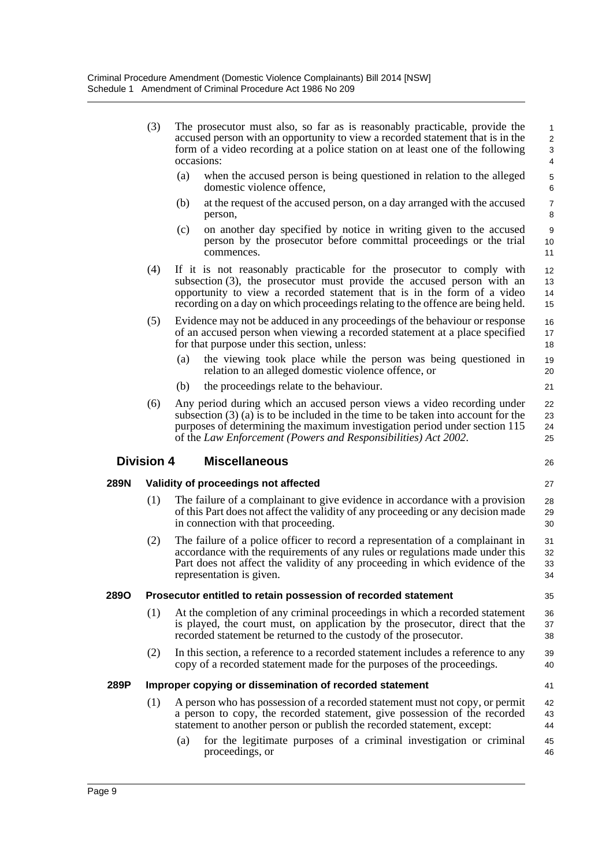|      | (3)               | The prosecutor must also, so far as is reasonably practicable, provide the<br>accused person with an opportunity to view a recorded statement that is in the<br>form of a video recording at a police station on at least one of the following<br>occasions:                                                   | $\mathbf{1}$<br>$\overline{2}$<br>3<br>$\overline{4}$ |
|------|-------------------|----------------------------------------------------------------------------------------------------------------------------------------------------------------------------------------------------------------------------------------------------------------------------------------------------------------|-------------------------------------------------------|
|      |                   | (a)<br>when the accused person is being questioned in relation to the alleged<br>domestic violence offence,                                                                                                                                                                                                    | $\,$ 5 $\,$<br>6                                      |
|      |                   | at the request of the accused person, on a day arranged with the accused<br>(b)<br>person,                                                                                                                                                                                                                     | $\overline{7}$<br>8                                   |
|      |                   | on another day specified by notice in writing given to the accused<br>(c)<br>person by the prosecutor before committal proceedings or the trial<br>commences.                                                                                                                                                  | 9<br>10<br>11                                         |
|      | (4)               | If it is not reasonably practicable for the prosecutor to comply with<br>subsection (3), the prosecutor must provide the accused person with an<br>opportunity to view a recorded statement that is in the form of a video<br>recording on a day on which proceedings relating to the offence are being held.  | 12<br>13<br>14<br>15                                  |
|      | (5)               | Evidence may not be adduced in any proceedings of the behaviour or response<br>of an accused person when viewing a recorded statement at a place specified<br>for that purpose under this section, unless:                                                                                                     | 16<br>17<br>18                                        |
|      |                   | the viewing took place while the person was being questioned in<br>(a)<br>relation to an alleged domestic violence offence, or                                                                                                                                                                                 | 19<br>20                                              |
|      |                   | the proceedings relate to the behaviour.<br>(b)                                                                                                                                                                                                                                                                | 21                                                    |
|      | (6)               | Any period during which an accused person views a video recording under<br>subsection $(3)$ (a) is to be included in the time to be taken into account for the<br>purposes of determining the maximum investigation period under section 115<br>of the Law Enforcement (Powers and Responsibilities) Act 2002. | 22<br>23<br>24<br>25                                  |
|      | <b>Division 4</b> | <b>Miscellaneous</b>                                                                                                                                                                                                                                                                                           | 26                                                    |
| 289N |                   | Validity of proceedings not affected                                                                                                                                                                                                                                                                           | 27                                                    |
|      | (1)               | The failure of a complainant to give evidence in accordance with a provision<br>of this Part does not affect the validity of any proceeding or any decision made<br>in connection with that proceeding.                                                                                                        | 28<br>29<br>30                                        |
|      | (2)               | The failure of a police officer to record a representation of a complainant in<br>accordance with the requirements of any rules or regulations made under this<br>Part does not affect the validity of any proceeding in which evidence of the<br>representation is given.                                     | 31<br>32<br>33<br>34                                  |
| 2890 |                   | Prosecutor entitled to retain possession of recorded statement                                                                                                                                                                                                                                                 | 35                                                    |
|      | (1)               | At the completion of any criminal proceedings in which a recorded statement<br>is played, the court must, on application by the prosecutor, direct that the<br>recorded statement be returned to the custody of the prosecutor.                                                                                | 36<br>37<br>38                                        |
|      | (2)               | In this section, a reference to a recorded statement includes a reference to any<br>copy of a recorded statement made for the purposes of the proceedings.                                                                                                                                                     | 39<br>40                                              |
|      |                   |                                                                                                                                                                                                                                                                                                                |                                                       |
| 289P |                   | Improper copying or dissemination of recorded statement                                                                                                                                                                                                                                                        | 41                                                    |
|      | (1)               | A person who has possession of a recorded statement must not copy, or permit<br>a person to copy, the recorded statement, give possession of the recorded<br>statement to another person or publish the recorded statement, except:                                                                            | 42<br>43<br>44                                        |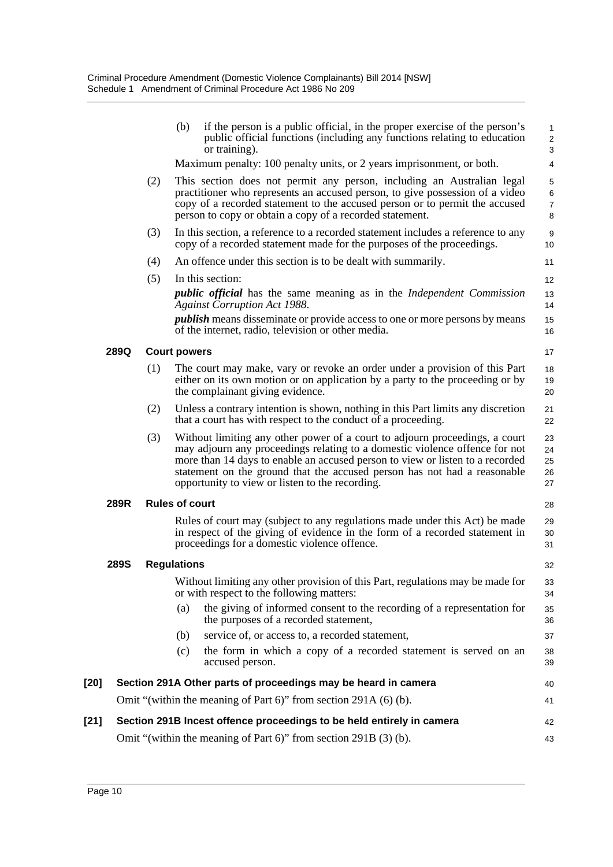|        |             |     | (b)                   | if the person is a public official, in the proper exercise of the person's<br>public official functions (including any functions relating to education<br>or training).                                                                                                                                                                                                    | 1<br>$\overline{2}$<br>3        |
|--------|-------------|-----|-----------------------|----------------------------------------------------------------------------------------------------------------------------------------------------------------------------------------------------------------------------------------------------------------------------------------------------------------------------------------------------------------------------|---------------------------------|
|        |             |     |                       | Maximum penalty: 100 penalty units, or 2 years imprisonment, or both.                                                                                                                                                                                                                                                                                                      | 4                               |
|        |             | (2) |                       | This section does not permit any person, including an Australian legal<br>practitioner who represents an accused person, to give possession of a video<br>copy of a recorded statement to the accused person or to permit the accused<br>person to copy or obtain a copy of a recorded statement.                                                                          | 5<br>6<br>$\boldsymbol{7}$<br>8 |
|        |             | (3) |                       | In this section, a reference to a recorded statement includes a reference to any<br>copy of a recorded statement made for the purposes of the proceedings.                                                                                                                                                                                                                 | 9<br>10                         |
|        |             | (4) |                       | An offence under this section is to be dealt with summarily.                                                                                                                                                                                                                                                                                                               | 11                              |
|        |             | (5) |                       | In this section:                                                                                                                                                                                                                                                                                                                                                           | 12                              |
|        |             |     |                       | <i>public official</i> has the same meaning as in the <i>Independent Commission</i><br><b>Against Corruption Act 1988.</b>                                                                                                                                                                                                                                                 | 13<br>14                        |
|        |             |     |                       | <i>publish</i> means disseminate or provide access to one or more persons by means<br>of the internet, radio, television or other media.                                                                                                                                                                                                                                   | 15<br>16                        |
|        | 289Q        |     | <b>Court powers</b>   |                                                                                                                                                                                                                                                                                                                                                                            | 17                              |
|        |             | (1) |                       | The court may make, vary or revoke an order under a provision of this Part<br>either on its own motion or on application by a party to the proceeding or by<br>the complainant giving evidence.                                                                                                                                                                            | 18<br>19<br>20                  |
|        |             | (2) |                       | Unless a contrary intention is shown, nothing in this Part limits any discretion<br>that a court has with respect to the conduct of a proceeding.                                                                                                                                                                                                                          | 21<br>22                        |
|        |             | (3) |                       | Without limiting any other power of a court to adjourn proceedings, a court<br>may adjourn any proceedings relating to a domestic violence offence for not<br>more than 14 days to enable an accused person to view or listen to a recorded<br>statement on the ground that the accused person has not had a reasonable<br>opportunity to view or listen to the recording. | 23<br>24<br>25<br>26<br>27      |
|        | 289R        |     | <b>Rules of court</b> |                                                                                                                                                                                                                                                                                                                                                                            | 28                              |
|        |             |     |                       | Rules of court may (subject to any regulations made under this Act) be made<br>in respect of the giving of evidence in the form of a recorded statement in<br>proceedings for a domestic violence offence.                                                                                                                                                                 | 29<br>30<br>31                  |
|        | <b>289S</b> |     | <b>Regulations</b>    |                                                                                                                                                                                                                                                                                                                                                                            | 32                              |
|        |             |     |                       | Without limiting any other provision of this Part, regulations may be made for<br>or with respect to the following matters:                                                                                                                                                                                                                                                | 33<br>34                        |
|        |             |     | (a)                   | the giving of informed consent to the recording of a representation for<br>the purposes of a recorded statement,                                                                                                                                                                                                                                                           | 35<br>36                        |
|        |             |     | (b)                   | service of, or access to, a recorded statement,                                                                                                                                                                                                                                                                                                                            | 37                              |
|        |             |     | (c)                   | the form in which a copy of a recorded statement is served on an<br>accused person.                                                                                                                                                                                                                                                                                        | 38<br>39                        |
| [20]   |             |     |                       | Section 291A Other parts of proceedings may be heard in camera                                                                                                                                                                                                                                                                                                             | 40                              |
|        |             |     |                       | Omit "(within the meaning of Part 6)" from section 291A (6) (b).                                                                                                                                                                                                                                                                                                           | 41                              |
| $[21]$ |             |     |                       | Section 291B Incest offence proceedings to be held entirely in camera                                                                                                                                                                                                                                                                                                      | 42                              |
|        |             |     |                       | Omit "(within the meaning of Part 6)" from section 291B (3) (b).                                                                                                                                                                                                                                                                                                           | 43                              |